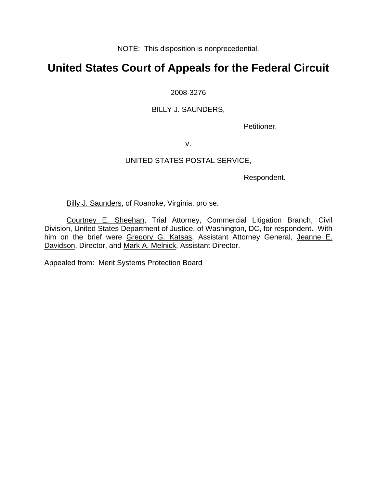NOTE: This disposition is nonprecedential.

# **United States Court of Appeals for the Federal Circuit**

### 2008-3276

### BILLY J. SAUNDERS,

Petitioner,

v.

## UNITED STATES POSTAL SERVICE,

Respondent.

Billy J. Saunders, of Roanoke, Virginia, pro se.

Courtney E. Sheehan, Trial Attorney, Commercial Litigation Branch, Civil Division, United States Department of Justice, of Washington, DC, for respondent. With him on the brief were Gregory G. Katsas, Assistant Attorney General, Jeanne E. Davidson, Director, and Mark A. Melnick, Assistant Director.

Appealed from: Merit Systems Protection Board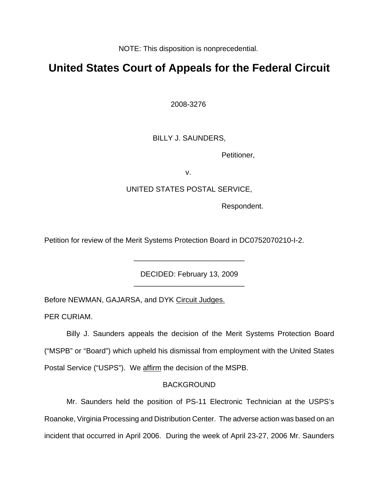NOTE: This disposition is nonprecedential.

# **United States Court of Appeals for the Federal Circuit**

2008-3276

## BILLY J. SAUNDERS,

Petitioner,

v.

### UNITED STATES POSTAL SERVICE,

Respondent.

Petition for review of the Merit Systems Protection Board in DC0752070210-I-2.

DECIDED: February 13, 2009 \_\_\_\_\_\_\_\_\_\_\_\_\_\_\_\_\_\_\_\_\_\_\_\_\_\_\_

\_\_\_\_\_\_\_\_\_\_\_\_\_\_\_\_\_\_\_\_\_\_\_\_\_\_\_

Before NEWMAN, GAJARSA, and DYK Circuit Judges.

PER CURIAM.

Billy J. Saunders appeals the decision of the Merit Systems Protection Board ("MSPB" or "Board") which upheld his dismissal from employment with the United States Postal Service ("USPS"). We affirm the decision of the MSPB.

### BACKGROUND

Mr. Saunders held the position of PS-11 Electronic Technician at the USPS's Roanoke, Virginia Processing and Distribution Center. The adverse action was based on an incident that occurred in April 2006. During the week of April 23-27, 2006 Mr. Saunders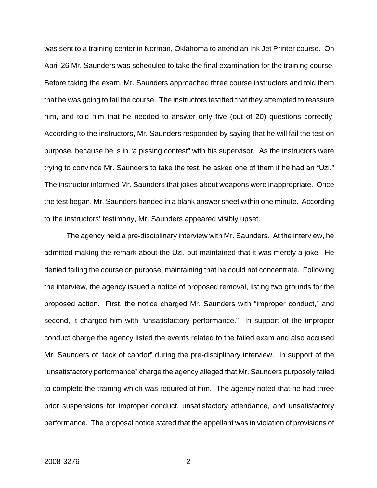was sent to a training center in Norman, Oklahoma to attend an Ink Jet Printer course. On April 26 Mr. Saunders was scheduled to take the final examination for the training course. Before taking the exam, Mr. Saunders approached three course instructors and told them that he was going to fail the course. The instructors testified that they attempted to reassure him, and told him that he needed to answer only five (out of 20) questions correctly. According to the instructors, Mr. Saunders responded by saying that he will fail the test on purpose, because he is in "a pissing contest" with his supervisor. As the instructors were trying to convince Mr. Saunders to take the test, he asked one of them if he had an "Uzi." The instructor informed Mr. Saunders that jokes about weapons were inappropriate. Once the test began, Mr. Saunders handed in a blank answer sheet within one minute. According to the instructors' testimony, Mr. Saunders appeared visibly upset.

The agency held a pre-disciplinary interview with Mr. Saunders. At the interview, he admitted making the remark about the Uzi, but maintained that it was merely a joke. He denied failing the course on purpose, maintaining that he could not concentrate. Following the interview, the agency issued a notice of proposed removal, listing two grounds for the proposed action. First, the notice charged Mr. Saunders with "improper conduct," and second, it charged him with "unsatisfactory performance." In support of the improper conduct charge the agency listed the events related to the failed exam and also accused Mr. Saunders of "lack of candor" during the pre-disciplinary interview. In support of the "unsatisfactory performance" charge the agency alleged that Mr. Saunders purposely failed to complete the training which was required of him. The agency noted that he had three prior suspensions for improper conduct, unsatisfactory attendance, and unsatisfactory performance. The proposal notice stated that the appellant was in violation of provisions of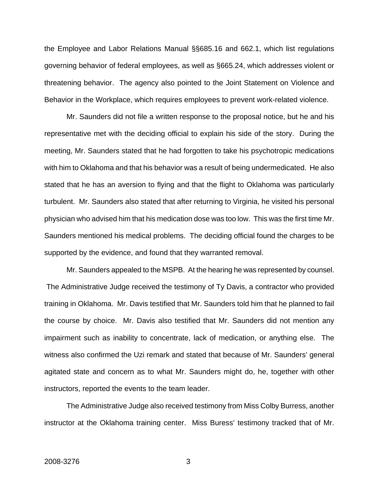the Employee and Labor Relations Manual §§685.16 and 662.1, which list regulations governing behavior of federal employees, as well as §665.24, which addresses violent or threatening behavior. The agency also pointed to the Joint Statement on Violence and Behavior in the Workplace, which requires employees to prevent work-related violence.

Mr. Saunders did not file a written response to the proposal notice, but he and his representative met with the deciding official to explain his side of the story. During the meeting, Mr. Saunders stated that he had forgotten to take his psychotropic medications with him to Oklahoma and that his behavior was a result of being undermedicated. He also stated that he has an aversion to flying and that the flight to Oklahoma was particularly turbulent. Mr. Saunders also stated that after returning to Virginia, he visited his personal physician who advised him that his medication dose was too low. This was the first time Mr. Saunders mentioned his medical problems. The deciding official found the charges to be supported by the evidence, and found that they warranted removal.

Mr. Saunders appealed to the MSPB. At the hearing he was represented by counsel. The Administrative Judge received the testimony of Ty Davis, a contractor who provided training in Oklahoma. Mr. Davis testified that Mr. Saunders told him that he planned to fail the course by choice. Mr. Davis also testified that Mr. Saunders did not mention any impairment such as inability to concentrate, lack of medication, or anything else. The witness also confirmed the Uzi remark and stated that because of Mr. Saunders' general agitated state and concern as to what Mr. Saunders might do, he, together with other instructors, reported the events to the team leader.

The Administrative Judge also received testimony from Miss Colby Burress, another instructor at the Oklahoma training center. Miss Buress' testimony tracked that of Mr.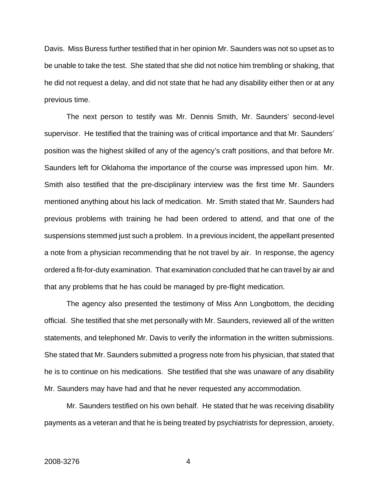Davis. Miss Buress further testified that in her opinion Mr. Saunders was not so upset as to be unable to take the test. She stated that she did not notice him trembling or shaking, that he did not request a delay, and did not state that he had any disability either then or at any previous time.

The next person to testify was Mr. Dennis Smith, Mr. Saunders' second-level supervisor. He testified that the training was of critical importance and that Mr. Saunders' position was the highest skilled of any of the agency's craft positions, and that before Mr. Saunders left for Oklahoma the importance of the course was impressed upon him. Mr. Smith also testified that the pre-disciplinary interview was the first time Mr. Saunders mentioned anything about his lack of medication. Mr. Smith stated that Mr. Saunders had previous problems with training he had been ordered to attend, and that one of the suspensions stemmed just such a problem. In a previous incident, the appellant presented a note from a physician recommending that he not travel by air. In response, the agency ordered a fit-for-duty examination. That examination concluded that he can travel by air and that any problems that he has could be managed by pre-flight medication.

The agency also presented the testimony of Miss Ann Longbottom, the deciding official. She testified that she met personally with Mr. Saunders, reviewed all of the written statements, and telephoned Mr. Davis to verify the information in the written submissions. She stated that Mr. Saunders submitted a progress note from his physician, that stated that he is to continue on his medications. She testified that she was unaware of any disability Mr. Saunders may have had and that he never requested any accommodation.

Mr. Saunders testified on his own behalf. He stated that he was receiving disability payments as a veteran and that he is being treated by psychiatrists for depression, anxiety,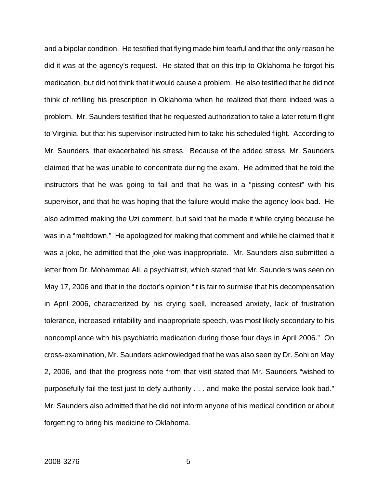and a bipolar condition. He testified that flying made him fearful and that the only reason he did it was at the agency's request. He stated that on this trip to Oklahoma he forgot his medication, but did not think that it would cause a problem. He also testified that he did not think of refilling his prescription in Oklahoma when he realized that there indeed was a problem. Mr. Saunders testified that he requested authorization to take a later return flight to Virginia, but that his supervisor instructed him to take his scheduled flight. According to Mr. Saunders, that exacerbated his stress. Because of the added stress, Mr. Saunders claimed that he was unable to concentrate during the exam. He admitted that he told the instructors that he was going to fail and that he was in a "pissing contest" with his supervisor, and that he was hoping that the failure would make the agency look bad. He also admitted making the Uzi comment, but said that he made it while crying because he was in a "meltdown." He apologized for making that comment and while he claimed that it was a joke, he admitted that the joke was inappropriate. Mr. Saunders also submitted a letter from Dr. Mohammad Ali, a psychiatrist, which stated that Mr. Saunders was seen on May 17, 2006 and that in the doctor's opinion "it is fair to surmise that his decompensation in April 2006, characterized by his crying spell, increased anxiety, lack of frustration tolerance, increased irritability and inappropriate speech, was most likely secondary to his noncompliance with his psychiatric medication during those four days in April 2006." On cross-examination, Mr. Saunders acknowledged that he was also seen by Dr. Sohi on May 2, 2006, and that the progress note from that visit stated that Mr. Saunders "wished to purposefully fail the test just to defy authority . . . and make the postal service look bad." Mr. Saunders also admitted that he did not inform anyone of his medical condition or about forgetting to bring his medicine to Oklahoma.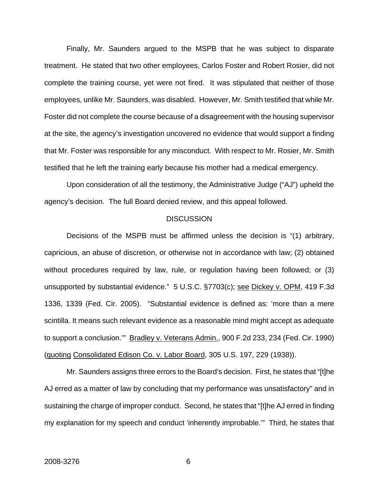Finally, Mr. Saunders argued to the MSPB that he was subject to disparate treatment. He stated that two other employees, Carlos Foster and Robert Rosier, did not complete the training course, yet were not fired. It was stipulated that neither of those employees, unlike Mr. Saunders, was disabled. However, Mr. Smith testified that while Mr. Foster did not complete the course because of a disagreement with the housing supervisor at the site, the agency's investigation uncovered no evidence that would support a finding that Mr. Foster was responsible for any misconduct. With respect to Mr. Rosier, Mr. Smith testified that he left the training early because his mother had a medical emergency.

Upon consideration of all the testimony, the Administrative Judge ("AJ") upheld the agency's decision. The full Board denied review, and this appeal followed.

#### **DISCUSSION**

Decisions of the MSPB must be affirmed unless the decision is "(1) arbitrary, capricious, an abuse of discretion, or otherwise not in accordance with law; (2) obtained without procedures required by law, rule, or regulation having been followed; or (3) unsupported by substantial evidence." 5 U.S.C. §7703(c); see Dickey v. OPM, 419 F.3d 1336, 1339 (Fed. Cir. 2005). "Substantial evidence is defined as: 'more than a mere scintilla. It means such relevant evidence as a reasonable mind might accept as adequate to support a conclusion.'" Bradley v. Veterans Admin., 900 F.2d 233, 234 (Fed. Cir. 1990) (quoting Consolidated Edison Co. v. Labor Board, 305 U.S. 197, 229 (1938)).

Mr. Saunders assigns three errors to the Board's decision. First, he states that "[t]he AJ erred as a matter of law by concluding that my performance was unsatisfactory" and in sustaining the charge of improper conduct. Second, he states that "[t]he AJ erred in finding my explanation for my speech and conduct 'inherently improbable.'" Third, he states that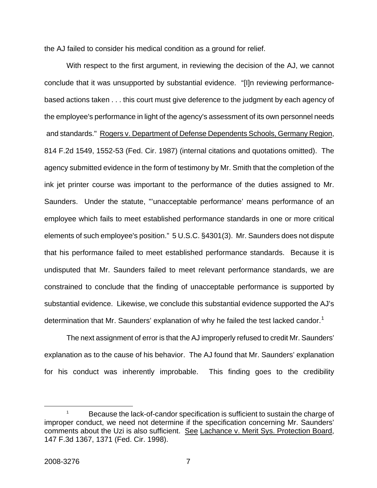the AJ failed to consider his medical condition as a ground for relief.

With respect to the first argument, in reviewing the decision of the AJ, we cannot conclude that it was unsupported by substantial evidence. "[I]n reviewing performancebased actions taken . . . this court must give deference to the judgment by each agency of the employee's performance in light of the agency's assessment of its own personnel needs and standards." Rogers v. Department of Defense Dependents Schools, Germany Region, 814 F.2d 1549, 1552-53 (Fed. Cir. 1987) (internal citations and quotations omitted). The agency submitted evidence in the form of testimony by Mr. Smith that the completion of the ink jet printer course was important to the performance of the duties assigned to Mr. Saunders. Under the statute, "'unacceptable performance' means performance of an employee which fails to meet established performance standards in one or more critical elements of such employee's position." 5 U.S.C. §4301(3). Mr. Saunders does not dispute that his performance failed to meet established performance standards. Because it is undisputed that Mr. Saunders failed to meet relevant performance standards, we are constrained to conclude that the finding of unacceptable performance is supported by substantial evidence. Likewise, we conclude this substantial evidence supported the AJ's determination that Mr. Saunders' explanation of why he failed the test lacked candor.<sup>[1](#page-7-0)</sup>

The next assignment of error is that the AJ improperly refused to credit Mr. Saunders' explanation as to the cause of his behavior. The AJ found that Mr. Saunders' explanation for his conduct was inherently improbable. This finding goes to the credibility

<span id="page-7-0"></span> $\begin{array}{c}\n\hline\n\end{array}$ <sup>1</sup> Because the lack-of-candor specification is sufficient to sustain the charge of improper conduct, we need not determine if the specification concerning Mr. Saunders' comments about the Uzi is also sufficient. See Lachance v. Merit Sys. Protection Board, 147 F.3d 1367, 1371 (Fed. Cir. 1998).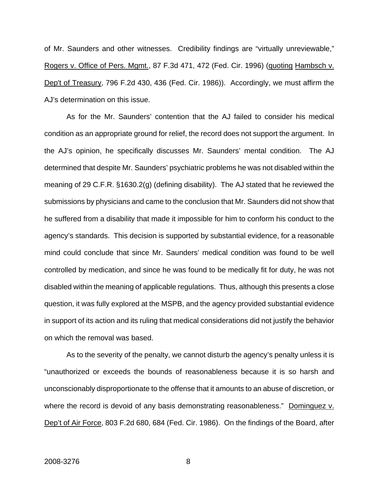of Mr. Saunders and other witnesses. Credibility findings are "virtually unreviewable," Rogers v. Office of Pers. Mgmt., 87 F.3d 471, 472 (Fed. Cir. 1996) (quoting Hambsch v. Dep't of Treasury, 796 F.2d 430, 436 (Fed. Cir. 1986)). Accordingly, we must affirm the AJ's determination on this issue.

As for the Mr. Saunders' contention that the AJ failed to consider his medical condition as an appropriate ground for relief, the record does not support the argument. In the AJ's opinion, he specifically discusses Mr. Saunders' mental condition. The AJ determined that despite Mr. Saunders' psychiatric problems he was not disabled within the meaning of 29 C.F.R. §1630.2(g) (defining disability). The AJ stated that he reviewed the submissions by physicians and came to the conclusion that Mr. Saunders did not show that he suffered from a disability that made it impossible for him to conform his conduct to the agency's standards. This decision is supported by substantial evidence, for a reasonable mind could conclude that since Mr. Saunders' medical condition was found to be well controlled by medication, and since he was found to be medically fit for duty, he was not disabled within the meaning of applicable regulations. Thus, although this presents a close question, it was fully explored at the MSPB, and the agency provided substantial evidence in support of its action and its ruling that medical considerations did not justify the behavior on which the removal was based.

As to the severity of the penalty, we cannot disturb the agency's penalty unless it is "unauthorized or exceeds the bounds of reasonableness because it is so harsh and unconscionably disproportionate to the offense that it amounts to an abuse of discretion, or where the record is devoid of any basis demonstrating reasonableness." Dominguez v. Dep't of Air Force, 803 F.2d 680, 684 (Fed. Cir. 1986). On the findings of the Board, after